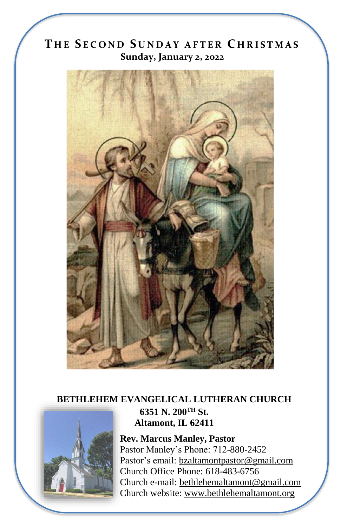# **T H E S E C O N D S U N D A Y A F T E R C H R I S T M A S Sunday, January 2, 2022**



### **BETHLEHEM EVANGELICAL LUTHERAN CHURCH 6351 N. 200TH St. Altamont, IL 62411**

**Rev. Marcus Manley, Pastor** Pastor Manley's Phone: 712-880-2452 Pastor's email[: bzaltamontpastor@gmail.com](mailto:bzaltamontpastor@gmail.com) Church Office Phone: 618-483-6756 Church e-mail: [bethlehemaltamont@gmail.com](mailto:bethlehemaltamont@gmail.com) Church website: [www.bethlehemaltamont.org](http://www.bethlehemaltamont.org/)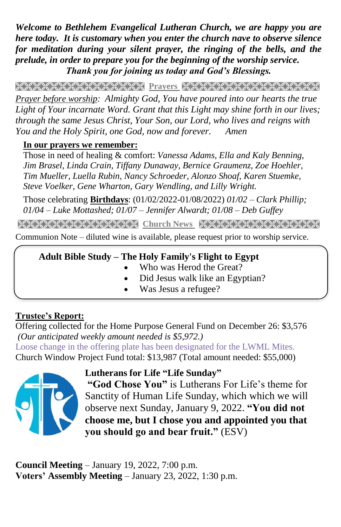*Welcome to Bethlehem Evangelical Lutheran Church, we are happy you are here today. It is customary when you enter the church nave to observe silence for meditation during your silent prayer, the ringing of the bells, and the prelude, in order to prepare you for the beginning of the worship service. Thank you for joining us today and God's Blessings.*

**PRAYARANA NATURAL PROTECT PARAMETERING CONTROLLER** *Prayer before worship: Almighty God, You have poured into our hearts the true* 

Light of Your incarnate Word. Grant that this Light may shine forth in our lives; *through the same Jesus Christ, Your Son, our Lord, who lives and reigns with You and the Holy Spirit, one God, now and forever. Amen*

#### **In our prayers we remember:**

Those in need of healing & comfort: *Vanessa Adams, Ella and Kaly Benning, Jim Brasel, Linda Crain, Tiffany Dunaway, Bernice Graumenz, Zoe Hoehler, Tim Mueller, Luella Rubin, Nancy Schroeder, Alonzo Shoaf, Karen Stuemke, Steve Voelker, Gene Wharton, Gary Wendling, and Lilly Wright.*

Those celebrating **Birthdays**: (01/02/2022-01/08/2022) *01/02 – Clark Phillip; 01/04 – Luke Mottashed; 01/07 – Jennifer Alwardt; 01/08 – Deb Guffey*

**Church News**

Communion Note – diluted wine is available, please request prior to worship service.

### **Adult Bible Study – The Holy Family's Flight to Egypt**

- Who was Herod the Great?
- Did Jesus walk like an Egyptian?
- Was Jesus a refugee?

### **Trustee's Report:**

Offering collected for the Home Purpose General Fund on December 26: \$3,576 *(Our anticipated weekly amount needed is \$5,972.)*  Loose change in the offering plate has been designated for the LWML Mites. Church Window Project Fund total: \$13,987 (Total amount needed: \$55,000)



**Lutherans for Life "Life Sunday"**

**"God Chose You"** is Lutherans For Life's theme for Sanctity of Human Life Sunday, which which we will observe next Sunday, January 9, 2022. **"You did not choose me, but I chose you and appointed you that you should go and bear fruit."** (ESV)

**Council Meeting** – January 19, 2022, 7:00 p.m. **Voters' Assembly Meeting** – January 23, 2022, 1:30 p.m.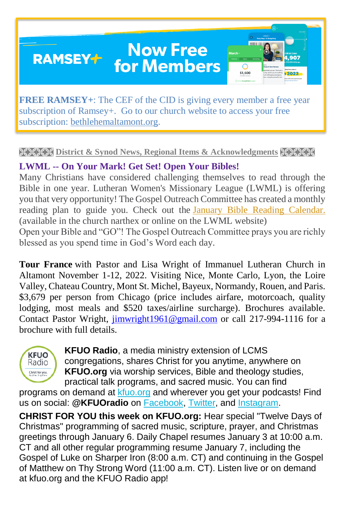### **Now Free RAMSEY+ for Members**



**FREE RAMSEY+**: The CEF of the CID is giving every member a free year subscription of Ramsey+. Go to our church website to access your free subscription: [bethlehemaltamont.org.](http://bethlehemaltamont.org/)

#### **EXXXX District & Synod News, Regional Items & Acknowledgments KXXXX**

### **LWML -- On Your Mark! Get Set! Open Your Bibles!**

Many Christians have considered challenging themselves to read through the Bible in one year. Lutheran Women's Missionary League (LWML) is offering you that very opportunity! The Gospel Outreach Committee has created a monthly reading plan to guide you. Check out the [January Bible Reading Calendar.](https://r20.rs6.net/tn.jsp?f=001grXMV_dTyKVDI_TmPJ08k9Ercu7WQxH89Vtd9SvUt0seMWtLnPkz1d2r7apJU_zw7rRcuNUwhiP973mEwR4qgM3gG55INOoXrgBew43B2TSGhx0BvGPmKrg8ffkCt1xch2f_Zsme-eUp4KktRBOFtdR2_8hb1DIwwzPiFeWGpsugAPHt6Tfz66snS-tXi43KZvlCSdJ0brqe_w-F53ek4Gwfh_OaM66pSPQQiQBrE5uoJJ3JVpevLXhUugnPi7uwWypan0msinc2QVtR-XgLKA==&c=vF_l_RdpZvXZjzFoDAspPZmQMi0Zvx_Iutv7hOhfpaFl-XTQgu5QdQ==&ch=Ay42vZTrX9TSrjCiRFP2i8dD7hHejTKLRUdo6P1ASf5O3EjmH__RIw==) (available in the church narthex or online on the LWML website) Open your Bible and "GO"! The Gospel Outreach Committee prays you are richly blessed as you spend time in God's Word each day.

**Tour France** with Pastor and Lisa Wright of Immanuel Lutheran Church in Altamont November 1-12, 2022. Visiting Nice, Monte Carlo, Lyon, the Loire Valley, Chateau Country, Mont St. Michel, Bayeux, Normandy, Rouen, and Paris. \$3,679 per person from Chicago (price includes airfare, motorcoach, quality lodging, most meals and \$520 taxes/airline surcharge). Brochures available. Contact Pastor Wright, [jimwright1961@gmail.com](mailto:jimwright1961@gmail.com) or call 217-994-1116 for a brochure with full details.



**KFUO Radio**, a media ministry extension of LCMS congregations, shares Christ for you anytime, anywhere on **KFUO.org** via worship services, Bible and theology studies, practical talk programs, and sacred music. You can find

programs on demand at [kfuo.org](https://kfuo.us19.list-manage.com/track/click?u=54af661ed49340a315983cb13&id=ec737e015a&e=9b1acf72cf) and wherever you get your podcasts! Find us on social: **@KFUOradio** on [Facebook,](https://kfuo.us19.list-manage.com/track/click?u=54af661ed49340a315983cb13&id=cc9cf25378&e=9b1acf72cf) [Twitter,](https://kfuo.us19.list-manage.com/track/click?u=54af661ed49340a315983cb13&id=d35b35d76d&e=9b1acf72cf) and [Instagram.](https://kfuo.us19.list-manage.com/track/click?u=54af661ed49340a315983cb13&id=2a456c0436&e=9b1acf72cf)

**CHRIST FOR YOU this week on KFUO.org:** Hear special "Twelve Days of Christmas" programming of sacred music, scripture, prayer, and Christmas greetings through January 6. Daily Chapel resumes January 3 at 10:00 a.m. CT and all other regular programming resume January 7, including the Gospel of Luke on Sharper Iron (8:00 a.m. CT) and continuing in the Gospel of Matthew on Thy Strong Word (11:00 a.m. CT). Listen live or on demand at kfuo.org and the KFUO Radio app!